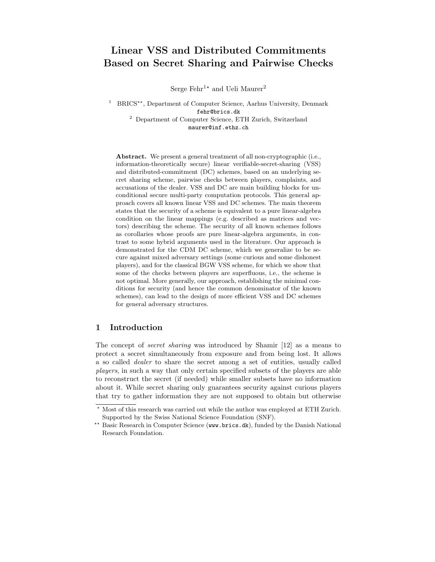# Linear VSS and Distributed Commitments Based on Secret Sharing and Pairwise Checks

Serge Fehr<sup>1\*</sup> and Ueli Maurer<sup>2</sup>

<sup>1</sup> BRICS<sup>\*\*</sup>, Department of Computer Science, Aarhus University, Denmark fehr@brics.dk <sup>2</sup> Department of Computer Science, ETH Zurich, Switzerland maurer@inf.ethz.ch

Abstract. We present a general treatment of all non-cryptographic (i.e., information-theoretically secure) linear verifiable-secret-sharing (VSS) and distributed-commitment (DC) schemes, based on an underlying secret sharing scheme, pairwise checks between players, complaints, and accusations of the dealer. VSS and DC are main building blocks for unconditional secure multi-party computation protocols. This general approach covers all known linear VSS and DC schemes. The main theorem states that the security of a scheme is equivalent to a pure linear-algebra condition on the linear mappings (e.g. described as matrices and vectors) describing the scheme. The security of all known schemes follows as corollaries whose proofs are pure linear-algebra arguments, in contrast to some hybrid arguments used in the literature. Our approach is demonstrated for the CDM DC scheme, which we generalize to be secure against mixed adversary settings (some curious and some dishonest players), and for the classical BGW VSS scheme, for which we show that some of the checks between players are superfluous, i.e., the scheme is not optimal. More generally, our approach, establishing the minimal conditions for security (and hence the common denominator of the known schemes), can lead to the design of more efficient VSS and DC schemes for general adversary structures.

# 1 Introduction

The concept of secret sharing was introduced by Shamir [12] as a means to protect a secret simultaneously from exposure and from being lost. It allows a so called dealer to share the secret among a set of entities, usually called players, in such a way that only certain specified subsets of the players are able to reconstruct the secret (if needed) while smaller subsets have no information about it. While secret sharing only guarantees security against curious players that try to gather information they are not supposed to obtain but otherwise

<sup>?</sup> Most of this research was carried out while the author was employed at ETH Zurich. Supported by the Swiss National Science Foundation (SNF).

Basic Research in Computer Science (www.brics.dk), funded by the Danish National Research Foundation.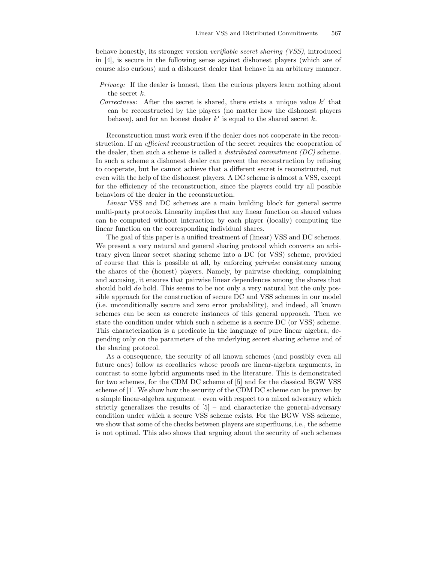behave honestly, its stronger version verifiable secret sharing (VSS), introduced in [4], is secure in the following sense against dishonest players (which are of course also curious) and a dishonest dealer that behave in an arbitrary manner.

- Privacy: If the dealer is honest, then the curious players learn nothing about the secret k.
- Correctness: After the secret is shared, there exists a unique value  $k'$  that can be reconstructed by the players (no matter how the dishonest players behave), and for an honest dealer  $k'$  is equal to the shared secret  $k$ .

Reconstruction must work even if the dealer does not cooperate in the reconstruction. If an *efficient* reconstruction of the secret requires the cooperation of the dealer, then such a scheme is called a *distributed commitment*  $(DC)$  scheme. In such a scheme a dishonest dealer can prevent the reconstruction by refusing to cooperate, but he cannot achieve that a different secret is reconstructed, not even with the help of the dishonest players. A DC scheme is almost a VSS, except for the efficiency of the reconstruction, since the players could try all possible behaviors of the dealer in the reconstruction.

Linear VSS and DC schemes are a main building block for general secure multi-party protocols. Linearity implies that any linear function on shared values can be computed without interaction by each player (locally) computing the linear function on the corresponding individual shares.

The goal of this paper is a unified treatment of (linear) VSS and DC schemes. We present a very natural and general sharing protocol which converts an arbitrary given linear secret sharing scheme into a DC (or VSS) scheme, provided of course that this is possible at all, by enforcing pairwise consistency among the shares of the (honest) players. Namely, by pairwise checking, complaining and accusing, it ensures that pairwise linear dependences among the shares that should hold do hold. This seems to be not only a very natural but the only possible approach for the construction of secure DC and VSS schemes in our model (i.e. unconditionally secure and zero error probability), and indeed, all known schemes can be seen as concrete instances of this general approach. Then we state the condition under which such a scheme is a secure DC (or VSS) scheme. This characterization is a predicate in the language of pure linear algebra, depending only on the parameters of the underlying secret sharing scheme and of the sharing protocol.

As a consequence, the security of all known schemes (and possibly even all future ones) follow as corollaries whose proofs are linear-algebra arguments, in contrast to some hybrid arguments used in the literature. This is demonstrated for two schemes, for the CDM DC scheme of [5] and for the classical BGW VSS scheme of [1]. We show how the security of the CDM DC scheme can be proven by a simple linear-algebra argument – even with respect to a mixed adversary which strictly generalizes the results of  $[5]$  – and characterize the general-adversary condition under which a secure VSS scheme exists. For the BGW VSS scheme, we show that some of the checks between players are superfluous, i.e., the scheme is not optimal. This also shows that arguing about the security of such schemes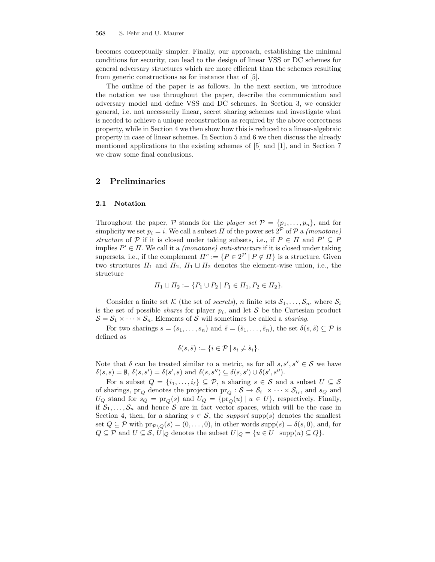becomes conceptually simpler. Finally, our approach, establishing the minimal conditions for security, can lead to the design of linear VSS or DC schemes for general adversary structures which are more efficient than the schemes resulting from generic constructions as for instance that of [5].

The outline of the paper is as follows. In the next section, we introduce the notation we use throughout the paper, describe the communication and adversary model and define VSS and DC schemes. In Section 3, we consider general, i.e. not necessarily linear, secret sharing schemes and investigate what is needed to achieve a unique reconstruction as required by the above correctness property, while in Section 4 we then show how this is reduced to a linear-algebraic property in case of linear schemes. In Section 5 and 6 we then discuss the already mentioned applications to the existing schemes of [5] and [1], and in Section 7 we draw some final conclusions.

## 2 Preliminaries

#### 2.1 Notation

Throughout the paper,  $P$  stands for the *player set*  $P = \{p_1, \ldots, p_n\}$ , and for simplicity we set  $p_i = i$ . We call a subset  $\Pi$  of the power set  $2^{\mathcal{P}}$  of  $\mathcal{P}$  a (monotone) structure of P if it is closed under taking subsets, i.e., if  $P \in \Pi$  and  $P' \subseteq P$ implies  $P' \in \Pi$ . We call it a *(monotone)* anti-structure if it is closed under taking supersets, i.e., if the complement  $\Pi^c := \{P \in 2^P \mid P \notin \Pi\}$  is a structure. Given two structures  $\Pi_1$  and  $\Pi_2$ ,  $\Pi_1 \sqcup \Pi_2$  denotes the element-wise union, i.e., the structure

$$
\Pi_1 \sqcup \Pi_2 := \{ P_1 \cup P_2 \mid P_1 \in \Pi_1, P_2 \in \Pi_2 \}.
$$

Consider a finite set K (the set of secrets), n finite sets  $S_1, \ldots, S_n$ , where  $S_i$ is the set of possible *shares* for player  $p_i$ , and let  $S$  be the Cartesian product  $S = S_1 \times \cdots \times S_n$ . Elements of S will sometimes be called a *sharing*.

For two sharings  $s = (s_1, \ldots, s_n)$  and  $\tilde{s} = (\tilde{s}_1, \ldots, \tilde{s}_n)$ , the set  $\delta(s, \tilde{s}) \subseteq \mathcal{P}$  is defined as

$$
\delta(s,\tilde{s}) := \{ i \in \mathcal{P} \mid s_i \neq \tilde{s}_i \}.
$$

Note that  $\delta$  can be treated similar to a metric, as for all  $s, s', s'' \in \mathcal{S}$  we have  $\delta(s,s) = \emptyset$ ,  $\delta(s,s') = \delta(s',s)$  and  $\delta(s,s'') \subseteq \delta(s,s') \cup \delta(s',s'')$ .

For a subset  $Q = \{i_1, \ldots, i_\ell\} \subseteq \mathcal{P}$ , a sharing  $s \in \mathcal{S}$  and a subset  $U \subseteq \mathcal{S}$ of sharings,  $pr_Q$  denotes the projection  $pr_Q : S \to S_{i_1} \times \cdots \times S_{i_\ell}$ , and  $s_Q$  and  $U_Q$  stand for  $s_Q = \text{pr}_Q(s)$  and  $U_Q = \{\text{pr}_Q(u) | u \in U\}$ , respectively. Finally, if  $S_1, \ldots, S_n$  and hence S are in fact vector spaces, which will be the case in Section 4, then, for a sharing  $s \in \mathcal{S}$ , the support supp(s) denotes the smallest set  $Q \subseteq \mathcal{P}$  with  $\text{pr}_{\mathcal{P}\setminus Q}(s) = (0, \ldots, 0)$ , in other words  $\text{supp}(s) = \delta(s, 0)$ , and, for  $Q \subseteq \mathcal{P}$  and  $U \subseteq \mathcal{S}$ ,  $U|_Q$  denotes the subset  $U|_Q = \{u \in U \mid \text{supp}(u) \subseteq Q\}.$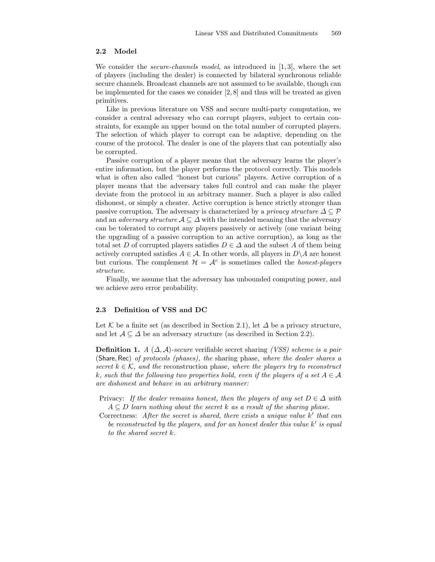#### 2.2 Model

We consider the *secure-channels model*, as introduced in  $[1, 3]$ , where the set of players (including the dealer) is connected by bilateral synchronous reliable secure channels. Broadcast channels are not assumed to be available, though can be implemented for the cases we consider  $[2, 8]$  and thus will be treated as given primitives.

Like in previous literature on VSS and secure multi-party computation, we consider a central adversary who can corrupt players, subject to certain constraints, for example an upper bound on the total number of corrupted players. The selection of which player to corrupt can be adaptive, depending on the course of the protocol. The dealer is one of the players that can potentially also be corrupted.

Passive corruption of a player means that the adversary learns the player's entire information, but the player performs the protocol correctly. This models what is often also called "honest but curious" players. Active corruption of a player means that the adversary takes full control and can make the player deviate from the protocol in an arbitrary manner. Such a player is also called dishonest, or simply a cheater. Active corruption is hence strictly stronger than passive corruption. The adversary is characterized by a *privacy structure*  $\Delta \subseteq \mathcal{P}$ and an *adversary structure*  $A \subseteq \Delta$  with the intended meaning that the adversary can be tolerated to corrupt any players passively or actively (one variant being the upgrading of a passive corruption to an active corruption), as long as the total set D of corrupted players satisfies  $D \in \Delta$  and the subset A of them being actively corrupted satisfies  $A \in \mathcal{A}$ . In other words, all players in  $D \setminus A$  are honest but curious. The complement  $\mathcal{H} = \mathcal{A}^c$  is sometimes called the *honest-players* structure.

Finally, we assume that the adversary has unbounded computing power, and we achieve zero error probability.

#### 2.3 Definition of VSS and DC

Let K be a finite set (as described in Section 2.1), let  $\Delta$  be a privacy structure, and let  $A \subseteq \Delta$  be an adversary structure (as described in Section 2.2).

**Definition 1.** A  $(\Delta, \mathcal{A})$ -secure verifiable secret sharing (VSS) scheme is a pair (Share, Rec) of protocols (phases), the sharing phase, where the dealer shares a secret  $k \in \mathcal{K}$ , and the reconstruction phase, where the players try to reconstruct k, such that the following two properties hold, even if the players of a set  $A \in \mathcal{A}$ are dishonest and behave in an arbitrary manner:

Privacy: If the dealer remains honest, then the players of any set  $D \in \Delta$  with  $A \subseteq D$  learn nothing about the secret k as a result of the sharing phase.

Correctness: After the secret is shared, there exists a unique value  $k'$  that can be reconstructed by the players, and for an honest dealer this value  $k'$  is equal to the shared secret k.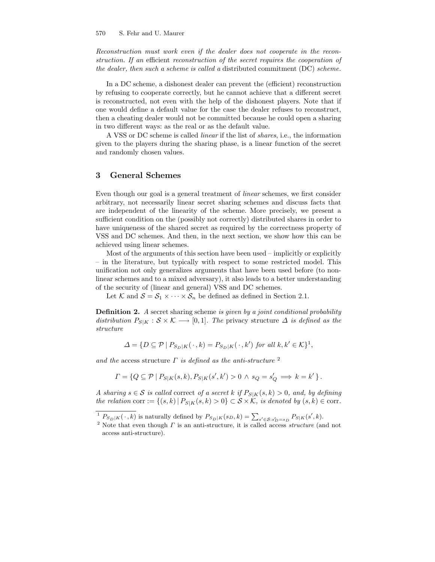Reconstruction must work even if the dealer does not cooperate in the reconstruction. If an efficient reconstruction of the secret requires the cooperation of the dealer, then such a scheme is called a distributed commitment (DC) scheme.

In a DC scheme, a dishonest dealer can prevent the (efficient) reconstruction by refusing to cooperate correctly, but he cannot achieve that a different secret is reconstructed, not even with the help of the dishonest players. Note that if one would define a default value for the case the dealer refuses to reconstruct, then a cheating dealer would not be committed because he could open a sharing in two different ways: as the real or as the default value.

A VSS or DC scheme is called linear if the list of shares, i.e., the information given to the players during the sharing phase, is a linear function of the secret and randomly chosen values.

# 3 General Schemes

Even though our goal is a general treatment of linear schemes, we first consider arbitrary, not necessarily linear secret sharing schemes and discuss facts that are independent of the linearity of the scheme. More precisely, we present a sufficient condition on the (possibly not correctly) distributed shares in order to have uniqueness of the shared secret as required by the correctness property of VSS and DC schemes. And then, in the next section, we show how this can be achieved using linear schemes.

Most of the arguments of this section have been used – implicitly or explicitly – in the literature, but typically with respect to some restricted model. This unification not only generalizes arguments that have been used before (to nonlinear schemes and to a mixed adversary), it also leads to a better understanding of the security of (linear and general) VSS and DC schemes.

Let K and  $S = S_1 \times \cdots \times S_n$  be defined as defined in Section 2.1.

Definition 2. A secret sharing scheme is given by a joint conditional probability distribution  $P_{S|K}: \mathcal{S} \times \mathcal{K} \longrightarrow [0,1]$ . The privacy structure  $\Delta$  is defined as the structure

$$
\Delta = \{ D \subseteq \mathcal{P} \mid P_{S_D|K}(\cdot, k) = P_{S_D|K}(\cdot, k') \text{ for all } k, k' \in \mathcal{K} \}^1,
$$

and the access structure  $\Gamma$  is defined as the anti-structure  $^2$ 

$$
\varGamma = \{Q \subseteq \mathcal{P} \mid P_{S|K}(s,k), P_{S|K}(s',k') > 0 \land s_Q = s'_Q \implies k = k' \}.
$$

A sharing  $s \in \mathcal{S}$  is called correct of a secret k if  $P_{S|K}(s, k) > 0$ , and, by defining the relation corr :=  $\{(s,k)| P_{S|K}(s,k) > 0\} \subset S \times K$ , is denoted by  $(s,k) \in \text{corr}$ .

<sup>&</sup>lt;sup>1</sup> $P_{S_D|K}(\cdot, k)$  is naturally defined by  $P_{S_D|K}(s_D, k) = \sum_{s' \in S: s'_D = s_D} P_{S|K}(s', k).$ 

<sup>&</sup>lt;sup>2</sup> Note that even though  $\Gamma$  is an anti-structure, it is called access *structure* (and not access anti-structure).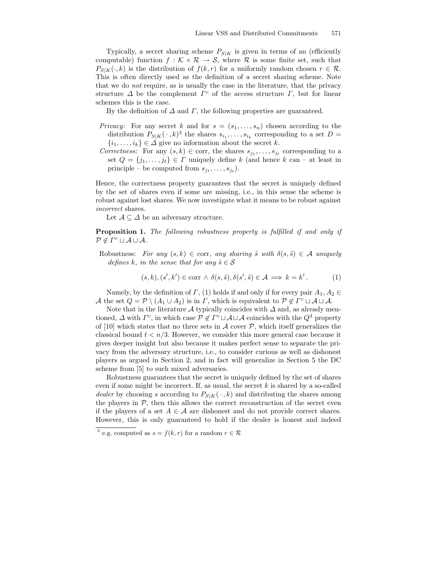Typically, a secret sharing scheme  $P_{S|K}$  is given in terms of an (efficiently computable) function  $f : \mathcal{K} \times \mathcal{R} \to \mathcal{S}$ , where  $\mathcal{R}$  is some finite set, such that  $P_{S|K}(\cdot, k)$  is the distribution of  $f(k,r)$  for a uniformly random chosen  $r \in \mathcal{R}$ . This is often directly used as the definition of a secret sharing scheme. Note that we do not require, as is usually the case in the literature, that the privacy structure  $\Delta$  be the complement  $\Gamma^c$  of the access structure  $\Gamma$ , but for linear schemes this is the case.

By the definition of  $\Delta$  and  $\Gamma$ , the following properties are guaranteed.

- *Privacy:* For any secret k and for  $s = (s_1, \ldots, s_n)$  chosen according to the distribution  $P_{S|K}(\cdot, k)^3$  the shares  $s_{i_1}, \ldots, s_{i_k}$  corresponding to a set  $D =$  $\{i_1, \ldots, i_k\} \in \Delta$  give no information about the secret k.
- Correctness: For any  $(s, k) \in \text{corr}$ , the shares  $s_{j_1}, \ldots, s_{j_\ell}$  corresponding to a set  $Q = \{j_1, \ldots, j_\ell\} \in \Gamma$  uniquely define k (and hence k can – at least in principle – be computed from  $s_{j_1}, \ldots, s_{j_\ell}$ .

Hence, the correctness property guarantees that the secret is uniquely defined by the set of shares even if some are missing, i.e., in this sense the scheme is robust against lost shares. We now investigate what it means to be robust against incorrect shares.

Let  $A \subseteq \Delta$  be an adversary structure.

**Proposition 1.** The following robustness property is fulfilled if and only if  $\mathcal{P} \notin \varGamma^c \sqcup \mathcal{A} \sqcup \mathcal{A}.$ 

Robustness: For any  $(s, k) \in \text{corr}$ , any sharing  $\tilde{s}$  with  $\delta(s, \tilde{s}) \in \mathcal{A}$  uniquely defines k, in the sense that for any  $\tilde{s} \in \mathcal{S}$ 

$$
(s,k), (s',k') \in \text{corr} \land \delta(s,\tilde{s}), \delta(s',\tilde{s}) \in \mathcal{A} \implies k = k'.
$$
 (1)

Namely, by the definition of  $\Gamma$ , (1) holds if and only if for every pair  $A_1, A_2 \in$ A the set  $Q = \mathcal{P} \setminus (A_1 \cup A_2)$  is in  $\Gamma$ , which is equivalent to  $\mathcal{P} \notin \Gamma^c \sqcup \mathcal{A} \sqcup \mathcal{A}$ .

Note that in the literature  $\mathcal A$  typically coincides with  $\Delta$  and, as already mentioned,  $\Delta$  with  $\Gamma^c$ , in which case  $\mathcal{P} \notin \Gamma^c \sqcup \mathcal{A} \sqcup \mathcal{A}$  coincides with the  $Q^3$  property of [10] which states that no three sets in  $A$  cover  $P$ , which itself generalizes the classical bound  $t < n/3$ . However, we consider this more general case because it gives deeper insight but also because it makes perfect sense to separate the privacy from the adversary structure, i.e., to consider curious as well as dishonest players as argued in Section 2, and in fact will generalize in Section 5 the DC scheme from [5] to such mixed adversaries.

Robustness guarantees that the secret is uniquely defined by the set of shares even if some might be incorrect. If, as usual, the secret  $k$  is shared by a so-called dealer by choosing s according to  $P_{S|K}(\cdot, k)$  and distributing the shares among the players in  $P$ , then this allows the correct reconstruction of the secret even if the players of a set  $A \in \mathcal{A}$  are dishonest and do not provide correct shares. However, this is only guaranteed to hold if the dealer is honest and indeed

<sup>&</sup>lt;sup>3</sup> e.g. computed as  $s = f(k, r)$  for a random  $r \in \mathcal{R}$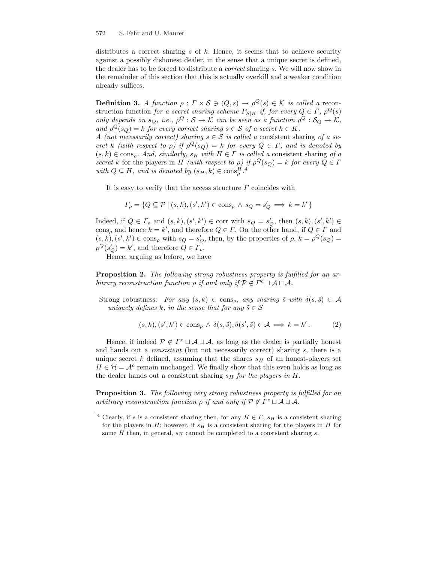distributes a correct sharing s of k. Hence, it seems that to achieve security against a possibly dishonest dealer, in the sense that a unique secret is defined, the dealer has to be forced to distribute a correct sharing s. We will now show in the remainder of this section that this is actually overkill and a weaker condition already suffices.

**Definition 3.** A function  $\rho : \Gamma \times S \ni (Q, s) \mapsto \rho^Q(s) \in \mathcal{K}$  is called a reconstruction function for a secret sharing scheme  $P_{S|K}$  if, for every  $Q \in \Gamma$ ,  $\rho^Q(s)$ only depends on  $s_Q$ , i.e.,  $\rho^Q : S \to \mathcal{K}$  can be seen as a function  $\rho^Q : S_Q \to \mathcal{K}$ , and  $\rho^Q(s_Q) = k$  for every correct sharing  $s \in S$  of a secret  $k \in K$ .

A (not necessarily correct) sharing  $s \in S$  is called a consistent sharing of a secret k (with respect to  $\rho$ ) if  $\rho^Q(s_Q) = k$  for every  $Q \in \Gamma$ , and is denoted by  $(s, k) \in \text{cons}_{\rho}$ . And, similarly,  $s_H$  with  $H \in \Gamma$  is called a consistent sharing of a secret k for the players in H (with respect to  $\rho$ ) if  $\rho^Q(s_Q) = k$  for every  $Q \in \Gamma$ with  $Q \subseteq H$ , and is denoted by  $(s_H, k) \in \text{cons}_{\rho}^H$ .<sup>4</sup>

It is easy to verify that the access structure  $\Gamma$  coincides with

$$
\varGamma_\rho = \{Q \subseteq \mathcal{P} \mid (s,k), (s',k') \in \text{cons}_\rho \, \wedge \, s_Q = s'_Q \implies k = k' \,\}
$$

Indeed, if  $Q \in \Gamma_\rho$  and  $(s, k), (s', k') \in \text{corr with } s_Q = s_Q'$ , then  $(s, k), (s', k') \in$  $\cos \rho$  and hence  $k = k'$ , and therefore  $Q \in \Gamma$ . On the other hand, if  $Q \in \Gamma$  and  $(s, k), (s', k') \in \text{cons}_{\rho}$  with  $s_Q = s_Q'$ , then, by the properties of  $\rho, k = \rho^Q(s_Q)$  $\rho^Q(s'_Q) = k'$ , and therefore  $Q \in \Gamma_\rho$ .

Hence, arguing as before, we have

**Proposition 2.** The following strong robustness property is fulfilled for an arbitrary reconstruction function  $\rho$  if and only if  $P \notin \Gamma^c \sqcup A \sqcup A$ .

Strong robustness: For any  $(s, k) \in \text{cons}_{\rho}$ , any sharing  $\tilde{s}$  with  $\delta(s, \tilde{s}) \in A$ uniquely defines k, in the sense that for any  $\tilde{s} \in \mathcal{S}$ 

$$
(s,k), (s',k') \in \text{cons}_{\rho} \land \delta(s,\tilde{s}), \delta(s',\tilde{s}) \in \mathcal{A} \implies k = k'.
$$
 (2)

Hence, if indeed  $\mathcal{P} \notin \Gamma^c \sqcup \mathcal{A} \sqcup \mathcal{A}$ , as long as the dealer is partially honest and hands out a consistent (but not necessarily correct) sharing s, there is a unique secret k defined, assuming that the shares  $s_H$  of an honest-players set  $H \in \mathcal{H} = \mathcal{A}^c$  remain unchanged. We finally show that this even holds as long as the dealer hands out a consistent sharing  $s_H$  for the players in H.

**Proposition 3.** The following very strong robustness property is fulfilled for an arbitrary reconstruction function  $\rho$  if and only if  $\mathcal{P} \notin \Gamma^c \sqcup \mathcal{A} \sqcup \mathcal{A}$ .

<sup>&</sup>lt;sup>4</sup> Clearly, if s is a consistent sharing then, for any  $H \in \Gamma$ ,  $s_H$  is a consistent sharing for the players in  $H$ ; however, if  $s_H$  is a consistent sharing for the players in H for some  $H$  then, in general,  $s_H$  cannot be completed to a consistent sharing  $s$ .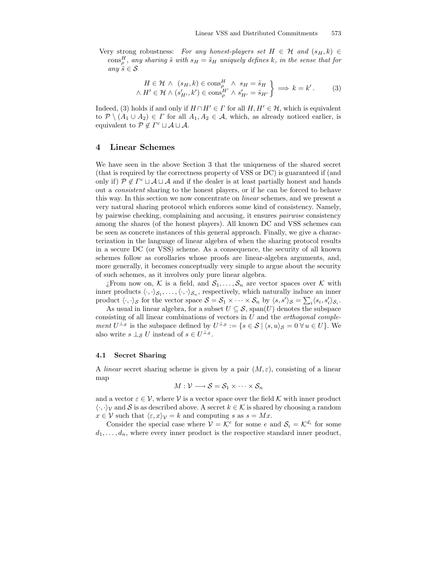Very strong robustness: For any honest-players set  $H \in \mathcal{H}$  and  $(s_H, k) \in$  $\cos_{\rho}^{H}$ , any sharing  $\tilde{s}$  with  $s_{H} = \tilde{s}_{H}$  uniquely defines k, in the sense that for any  $\tilde{s} \in \mathcal{S}$ 

$$
H \in \mathcal{H} \wedge (s_H, k) \in \text{cons}_{\rho}^H \wedge s_H = \tilde{s}_H
$$
  
 
$$
\wedge H' \in \mathcal{H} \wedge (s'_{H'}, k') \in \text{cons}_{\rho}^{H'} \wedge s'_{H'} = \tilde{s}_{H'} \} \implies k = k'.
$$
 (3)

Indeed, (3) holds if and only if  $H \cap H' \in \Gamma$  for all  $H, H' \in \mathcal{H}$ , which is equivalent to  $\mathcal{P} \setminus (A_1 \cup A_2) \in \Gamma$  for all  $A_1, A_2 \in \mathcal{A}$ , which, as already noticed earlier, is equivalent to  $\mathcal{P} \notin \Gamma^c \sqcup \mathcal{A} \sqcup \mathcal{A}$ .

### 4 Linear Schemes

We have seen in the above Section 3 that the uniqueness of the shared secret (that is required by the correctness property of VSS or DC) is guaranteed if (and only if)  $\mathcal{P} \notin \Gamma^c \sqcup \mathcal{A} \sqcup \mathcal{A}$  and if the dealer is at least partially honest and hands out a consistent sharing to the honest players, or if he can be forced to behave this way. In this section we now concentrate on linear schemes, and we present a very natural sharing protocol which enforces some kind of consistency. Namely, by pairwise checking, complaining and accusing, it ensures pairwise consistency among the shares (of the honest players). All known DC and VSS schemes can be seen as concrete instances of this general approach. Finally, we give a characterization in the language of linear algebra of when the sharing protocol results in a secure DC (or VSS) scheme. As a consequence, the security of all known schemes follow as corollaries whose proofs are linear-algebra arguments, and, more generally, it becomes conceptually very simple to argue about the security of such schemes, as it involves only pure linear algebra.

¿From now on, K is a field, and  $S_1, \ldots, S_n$  are vector spaces over K with inner products  $\langle \cdot, \cdot \rangle_{\mathcal{S}_1}, \ldots, \langle \cdot, \cdot \rangle_{\mathcal{S}_n}$ , respectively, which naturally induce an inner product  $\langle \cdot, \cdot \rangle_{\mathcal{S}}$  for the vector space  $\mathcal{S} = \mathcal{S}_1 \times \cdots \times \mathcal{S}_n$  by  $\langle s, s' \rangle_{\mathcal{S}} = \sum_i \langle s_i, s'_i \rangle_{\mathcal{S}_i}$ .

As usual in linear algebra, for a subset  $U \subseteq \mathcal{S}$ , span $(U)$  denotes the subspace consisting of all linear combinations of vectors in  $U$  and the *orthogonal comple*ment  $U^{\perp_{\mathcal{S}}}$  is the subspace defined by  $U^{\perp_{\mathcal{S}}} := \{s \in \mathcal{S} \mid \langle s, u \rangle_{\mathcal{S}} = 0 \ \forall u \in U\}$ . We also write  $s \perp_{\mathcal{S}} U$  instead of  $s \in U^{\perp_{\mathcal{S}}}$ .

#### 4.1 Secret Sharing

A linear secret sharing scheme is given by a pair  $(M, \varepsilon)$ , consisting of a linear map

$$
M: \mathcal{V} \longrightarrow \mathcal{S} = \mathcal{S}_1 \times \cdots \times \mathcal{S}_n
$$

and a vector  $\varepsilon \in \mathcal{V}$ , where  $\mathcal{V}$  is a vector space over the field K with inner product  $\langle \cdot, \cdot \rangle_{\mathcal{V}}$  and S is as described above. A secret  $k \in \mathcal{K}$  is shared by choosing a random  $x \in V$  such that  $\langle \varepsilon, x \rangle_V = k$  and computing s as  $s = Mx$ .

Consider the special case where  $V = \mathcal{K}^e$  for some e and  $\mathcal{S}_i = \mathcal{K}^{d_i}$  for some  $d_1, \ldots, d_n$ , where every inner product is the respective standard inner product,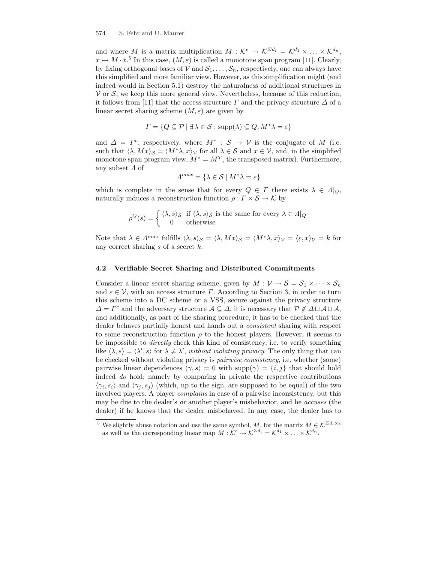and where M is a matrix multiplication  $M : \mathcal{K}^e \to \mathcal{K}^{\Sigma d_i} = \mathcal{K}^{d_1} \times \ldots \times \mathcal{K}^{d_n}$ ,  $x \mapsto M \cdot x$ <sup>5</sup> In this case,  $(M, \varepsilon)$  is called a monotone span program [11]. Clearly, by fixing orthogonal bases of V and  $S_1, \ldots, S_n$ , respectively, one can always have this simplified and more familiar view. However, as this simplification might (and indeed would in Section 5.1) destroy the naturalness of additional structures in  $V$  or  $S$ , we keep this more general view. Nevertheless, because of this reduction, it follows from [11] that the access structure  $\Gamma$  and the privacy structure  $\Delta$  of a linear secret sharing scheme  $(M, \varepsilon)$  are given by

$$
\Gamma = \{ Q \subseteq \mathcal{P} \mid \exists \lambda \in \mathcal{S} : \text{supp}(\lambda) \subseteq Q, M^* \lambda = \varepsilon \}
$$

and  $\Delta = \Gamma^c$ , respectively, where  $M^* : \mathcal{S} \to \mathcal{V}$  is the conjugate of M (i.e. such that  $\langle \lambda, Mx \rangle_{\mathcal{S}} = \langle M^* \lambda, x \rangle_{\mathcal{V}}$  for all  $\lambda \in \mathcal{S}$  and  $x \in \mathcal{V}$ , and, in the simplified monotone span program view,  $M^* = M^T$ , the transposed matrix). Furthermore, any subset  $\Lambda$  of

$$
\Lambda^{max} = \{ \lambda \in \mathcal{S} \mid M^* \lambda = \varepsilon \}
$$

which is complete in the sense that for every  $Q \in \Gamma$  there exists  $\lambda \in \Lambda |_{Q}$ , naturally induces a reconstruction function  $\rho: \Gamma \times S \to \mathcal{K}$  by

$$
\rho^{Q}(s) = \begin{cases} \langle \lambda, s \rangle_{\mathcal{S}} & \text{if } \langle \lambda, s \rangle_{\mathcal{S}} \text{ is the same for every } \lambda \in \Lambda|_{Q} \\ 0 & \text{otherwise} \end{cases}
$$

Note that  $\lambda \in \Lambda^{max}$  fulfills  $\langle \lambda, s \rangle_{\mathcal{S}} = \langle \lambda, Mx \rangle_{\mathcal{S}} = \langle M^* \lambda, x \rangle_{\mathcal{V}} = \langle \varepsilon, x \rangle_{\mathcal{V}} = k$  for any correct sharing  $s$  of a secret  $k$ .

#### 4.2 Verifiable Secret Sharing and Distributed Commitments

Consider a linear secret sharing scheme, given by  $M: \mathcal{V} \to \mathcal{S} = \mathcal{S}_1 \times \cdots \times \mathcal{S}_n$ and  $\varepsilon \in \mathcal{V}$ , with an access structure  $\Gamma$ . According to Section 3, in order to turn this scheme into a DC scheme or a VSS, secure against the privacy structure  $\Delta = \Gamma^c$  and the adversary structure  $\mathcal{A} \subseteq \Delta$ , it is necessary that  $\mathcal{P} \notin \Delta \sqcup \mathcal{A} \sqcup \mathcal{A}$ , and additionally, as part of the sharing procedure, it has to be checked that the dealer behaves partially honest and hands out a consistent sharing with respect to some reconstruction function  $\rho$  to the honest players. However, it seems to be impossible to directly check this kind of consistency, i.e. to verify something like  $\langle \lambda, s \rangle = \langle \lambda', s \rangle$  for  $\lambda \neq \lambda'$ , without violating privacy. The only thing that can be checked without violating privacy is pairwise consistency, i.e. whether (some) pairwise linear dependences  $\langle \gamma, s \rangle = 0$  with  $\text{supp}(\gamma) = \{i, j\}$  that should hold indeed do hold; namely by comparing in private the respective contributions  $\langle \gamma_i, s_i \rangle$  and  $\langle \gamma_j, s_j \rangle$  (which, up to the sign, are supposed to be equal) of the two involved players. A player complains in case of a pairwise inconsistency, but this may be due to the dealer's or another player's misbehavior, and he accuses (the dealer) if he knows that the dealer misbehaved. In any case, the dealer has to

<sup>&</sup>lt;sup>5</sup> We slightly abuse notation and use the same symbol, M, for the matrix  $M \in \mathcal{K}^{\Sigma d_i \times e}$ as well as the corresponding linear map  $M: \mathcal{K}^e \to \mathcal{K}^{\Sigma d_i} = \mathcal{K}^{d_1} \times \ldots \times \mathcal{K}^{d_n}$ .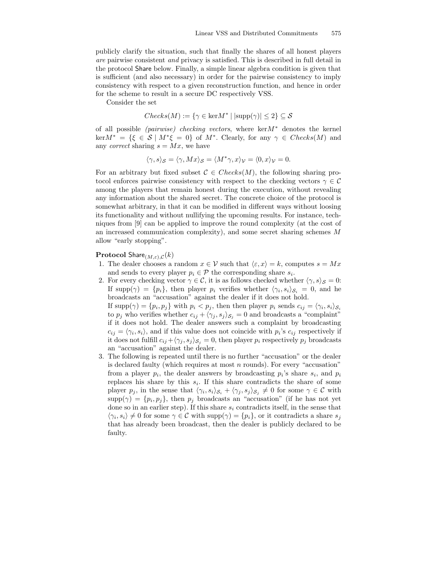publicly clarify the situation, such that finally the shares of all honest players are pairwise consistent and privacy is satisfied. This is described in full detail in the protocol Share below. Finally, a simple linear algebra condition is given that is sufficient (and also necessary) in order for the pairwise consistency to imply consistency with respect to a given reconstruction function, and hence in order for the scheme to result in a secure DC respectively VSS.

Consider the set

$$
Checks(M) := \{ \gamma \in \text{ker}M^* \mid |\text{supp}(\gamma)| \le 2 \} \subseteq \mathcal{S}
$$

of all possible (pairwise) checking vectors, where kerM<sup>∗</sup> denotes the kernel  $\ker M^* = \{ \xi \in S \mid M^* \xi = 0 \}$  of  $M^*$ . Clearly, for any  $\gamma \in \text{Checks}(M)$  and any *correct* sharing  $s = Mx$ , we have

$$
\langle \gamma, s \rangle_{\mathcal{S}} = \langle \gamma, Mx \rangle_{\mathcal{S}} = \langle M^* \gamma, x \rangle_{\mathcal{V}} = \langle 0, x \rangle_{\mathcal{V}} = 0.
$$

For an arbitrary but fixed subset  $\mathcal{C} \in \text{Checks}(M)$ , the following sharing protocol enforces pairwise consistency with respect to the checking vectors  $\gamma \in \mathcal{C}$ among the players that remain honest during the execution, without revealing any information about the shared secret. The concrete choice of the protocol is somewhat arbitrary, in that it can be modified in different ways without loosing its functionality and without nullifying the upcoming results. For instance, techniques from [9] can be applied to improve the round complexity (at the cost of an increased communication complexity), and some secret sharing schemes M allow "early stopping".

# **Protocol** Share $_{(M,\varepsilon),\mathcal{C}}(k)$

- 1. The dealer chooses a random  $x \in V$  such that  $\langle \varepsilon, x \rangle = k$ , computes  $s = Mx$ and sends to every player  $p_i \in \mathcal{P}$  the corresponding share  $s_i$ .
- 2. For every checking vector  $\gamma \in \mathcal{C}$ , it is as follows checked whether  $\langle \gamma, s \rangle_{\mathcal{S}} = 0$ : If supp $(\gamma) = \{p_i\}$ , then player  $p_i$  verifies whether  $\langle \gamma_i, s_i \rangle_{\mathcal{S}_i} = 0$ , and he broadcasts an "accusation" against the dealer if it does not hold. If  $\text{supp}(\gamma) = \{p_i, p_j\}$  with  $p_i < p_j$ , then then player  $p_i$  sends  $c_{ij} = \langle \gamma_i, s_i \rangle_{\mathcal{S}_i}$ to  $p_j$  who verifies whether  $c_{ij} + \langle \gamma_j , s_j \rangle_{\mathcal{S}_j} = 0$  and broadcasts a "complaint" if it does not hold. The dealer answers such a complaint by broadcasting  $c_{ij} = \langle \gamma_i, s_i \rangle$ , and if this value does not coincide with  $p_i$ 's  $c_{ij}$  respectively if it does not fulfill  $c_{ij} + \langle \gamma_j, s_j \rangle_{\mathcal{S}_j} = 0$ , then player  $p_i$  respectively  $p_j$  broadcasts an "accusation" against the dealer.
- 3. The following is repeated until there is no further "accusation" or the dealer is declared faulty (which requires at most  $n$  rounds). For every "accusation" from a player  $p_i$ , the dealer answers by broadcasting  $p_i$ 's share  $s_i$ , and  $p_i$ replaces his share by this  $s_i$ . If this share contradicts the share of some player  $p_j$ , in the sense that  $\langle \gamma_i, s_i \rangle_{\mathcal{S}_i} + \langle \gamma_j, s_j \rangle_{\mathcal{S}_j} \neq 0$  for some  $\gamma \in \mathcal{C}$  with  $\text{supp}(\gamma) = \{p_i, p_j\},\$  then  $p_j$  broadcasts an "accusation" (if he has not yet done so in an earlier step). If this share  $s_i$  contradicts itself, in the sense that  $\langle \gamma_i, s_i \rangle \neq 0$  for some  $\gamma \in \mathcal{C}$  with  $\text{supp}(\gamma) = \{p_i\}$ , or it contradicts a share  $s_j$ that has already been broadcast, then the dealer is publicly declared to be faulty.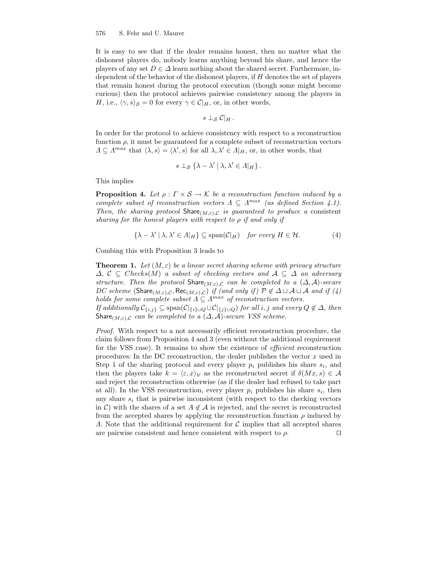It is easy to see that if the dealer remains honest, then no matter what the dishonest players do, nobody learns anything beyond his share, and hence the players of any set  $D \in \Delta$  learn nothing about the shared secret. Furthermore, independent of the behavior of the dishonest players, if  $H$  denotes the set of players that remain honest during the protocol execution (though some might become curious) then the protocol achieves pairwise consistency among the players in H, i.e.,  $\langle \gamma, s \rangle_{\mathcal{S}} = 0$  for every  $\gamma \in \mathcal{C}|_H$ , or, in other words,

 $s \perp_S C|_H$ .

In order for the protocol to achieve consistency with respect to a reconstruction function  $\rho$ , it must be guaranteed for a complete subset of reconstruction vectors  $\Lambda \subseteq \Lambda^{max}$  that  $\langle \lambda, s \rangle = \langle \lambda', s \rangle$  for all  $\lambda, \lambda' \in \Lambda |_{H}$ , or, in other words, that

$$
s \perp_{\mathcal{S}} \{\lambda - \lambda' \mid \lambda, \lambda' \in \Lambda|_{H}\}.
$$

This implies

**Proposition 4.** Let  $\rho : \Gamma \times S \to \mathcal{K}$  be a reconstruction function induced by a complete subset of reconstruction vectors  $\Lambda \subseteq \Lambda^{max}$  (as defined Section 4.1). Then, the sharing protocol  $\text{Share}_{(M,\varepsilon),\mathcal{C}}$  is guaranteed to produce a consistent sharing for the honest players with respect to  $\rho$  if and only if

$$
\{\lambda - \lambda' \mid \lambda, \lambda' \in \Lambda|_{H}\} \subseteq \text{span}(\mathcal{C}|_{H}) \quad \text{for every } H \in \mathcal{H}.
$$
 (4)

Combing this with Proposition 3 leads to

**Theorem 1.** Let  $(M, \varepsilon)$  be a linear secret sharing scheme with privacy structure  $\Delta, \mathcal{C} \subseteq \text{Checks}(M)$  a subset of checking vectors and  $\mathcal{A} \subseteq \Delta$  an adversary structure. Then the protocol  $\text{Share}_{(M,\varepsilon),\mathcal{C}}$  can be completed to a  $(\Delta,\mathcal{A})$ -secure DC scheme (Share<sub> $(M,\varepsilon),C$ </sub>, Rec<sub> $(M,\varepsilon),C$ </sub>) if (and only if)  $\mathcal{P} \notin \Delta \sqcup \mathcal{A} \sqcup \mathcal{A}$  and if (4) holds for some complete subset  $\Lambda \subseteq \Lambda^{max}$  of reconstruction vectors. If additionally  $\mathcal{C}_{\{i,j\}} \subseteq \text{span}(\mathcal{C}|_{\{i\}\cup Q} \cup \mathcal{C}|_{\{j\}\cup Q})$  for all i, j and every  $Q \notin \Delta$ , then

Share<sub>(M,ε),C</sub> can be completed to a  $(\Delta, \mathcal{A})$ -secure VSS scheme.

Proof. With respect to a not necessarily efficient reconstruction procedure, the claim follows from Proposition 4 and 3 (even without the additional requirement for the VSS case). It remains to show the existence of efficient reconstruction procedures: In the DC reconstruction, the dealer publishes the vector  $x$  used in Step 1 of the sharing protocol and every player  $p_i$  publishes his share  $s_i$ , and then the players take  $k = \langle \varepsilon, x \rangle$  as the reconstructed secret if  $\delta(Mx, s) \in \mathcal{A}$ and reject the reconstruction otherwise (as if the dealer had refused to take part at all). In the VSS reconstruction, every player  $p_i$  publishes his share  $s_i$ , then any share  $s_i$  that is pairwise inconsistent (with respect to the checking vectors in C) with the shares of a set  $A \notin \mathcal{A}$  is rejected, and the secret is reconstructed from the accepted shares by applying the reconstruction function  $\rho$  induced by  $\Lambda$ . Note that the additional requirement for C implies that all accepted shares are pairwise consistent and hence consistent with respect to  $\rho$ .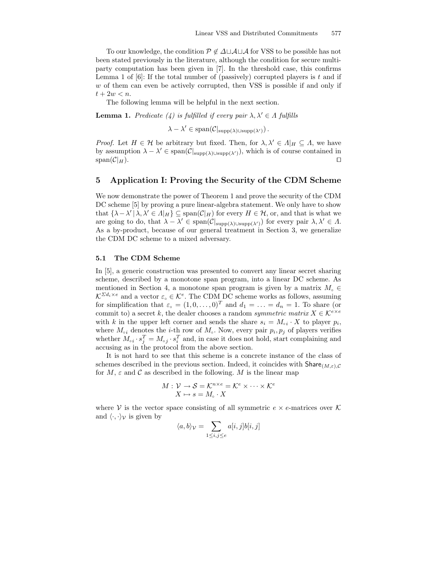To our knowledge, the condition  $\mathcal{P} \notin \Delta \sqcup \mathcal{A} \sqcup \mathcal{A}$  for VSS to be possible has not been stated previously in the literature, although the condition for secure multiparty computation has been given in [7]. In the threshold case, this confirms Lemma 1 of  $[6]$ : If the total number of (passively) corrupted players is t and if  $w$  of them can even be actively corrupted, then VSS is possible if and only if  $t+2w < n$ .

The following lemma will be helpful in the next section.

**Lemma 1.** Predicate (4) is fulfilled if every pair  $\lambda, \lambda' \in \Lambda$  fulfills

 $\lambda - \lambda' \in \text{span}(\mathcal{C}|_{\text{supp}(\lambda) \cup \text{supp}(\lambda')}).$ 

*Proof.* Let  $H \in \mathcal{H}$  be arbitrary but fixed. Then, for  $\lambda, \lambda' \in \Lambda|_H \subseteq \Lambda$ , we have by assumption  $\lambda - \lambda' \in \text{span}(\mathcal{C}|_{\text{supp}(\lambda) \cup \text{supp}(\lambda')})$ , which is of course contained in  $\text{span}(\mathcal{C}|_H).$ 

### 5 Application I: Proving the Security of the CDM Scheme

We now demonstrate the power of Theorem 1 and prove the security of the CDM DC scheme [5] by proving a pure linear-algebra statement. We only have to show that  $\{\lambda - \lambda' | \lambda, \lambda' \in \Lambda | H\} \subseteq \text{span}(\mathcal{C}|_H)$  for every  $H \in \mathcal{H}$ , or, and that is what we are going to do, that  $\lambda - \lambda' \in \text{span}(\mathcal{C}|_{\text{supp}(\lambda) \cup \text{supp}(\lambda')})$  for every pair  $\lambda, \lambda' \in \Lambda$ . As a by-product, because of our general treatment in Section 3, we generalize the CDM DC scheme to a mixed adversary.

#### 5.1 The CDM Scheme

In [5], a generic construction was presented to convert any linear secret sharing scheme, described by a monotone span program, into a linear DC scheme. As mentioned in Section 4, a monotone span program is given by a matrix  $M_{\circ} \in$  $\mathcal{K}^{\Sigma d_i \times e}$  and a vector  $\varepsilon_{\circ} \in \mathcal{K}^e$ . The CDM DC scheme works as follows, assuming for simplification that  $\varepsilon_{\circ} = (1, 0, \ldots, 0)^T$  and  $d_1 = \ldots = d_n = 1$ . To share (or commit to) a secret k, the dealer chooses a random symmetric matrix  $X \in \mathcal{K}^{e \times e}$ with k in the upper left corner and sends the share  $s_i = M_{\circ i} \cdot X$  to player  $p_i$ , where  $M_{\circ i}$  denotes the *i*-th row of  $M_{\circ}$ . Now, every pair  $p_i, p_j$  of players verifies whether  $M_{\circ i} \cdot s_i^T = M_{\circ j} \cdot s_i^T$  and, in case it does not hold, start complaining and accusing as in the protocol from the above section.

It is not hard to see that this scheme is a concrete instance of the class of schemes described in the previous section. Indeed, it coincides with  $\mathsf{Share}_{(M,\varepsilon),\mathcal{C}}$ for  $M, \varepsilon$  and  $\mathcal C$  as described in the following. M is the linear map

$$
M: \mathcal{V} \to \mathcal{S} = \mathcal{K}^{n \times e} = \mathcal{K}^{e} \times \cdots \times \mathcal{K}^{e}
$$

$$
X \mapsto s = M_{\circ} \cdot X
$$

where V is the vector space consisting of all symmetric  $e \times e$ -matrices over K and  $\langle \cdot, \cdot \rangle_{\mathcal{V}}$  is given by

$$
\langle a, b \rangle_{\mathcal{V}} = \sum_{1 \le i, j \le e} a[i, j]b[i, j]
$$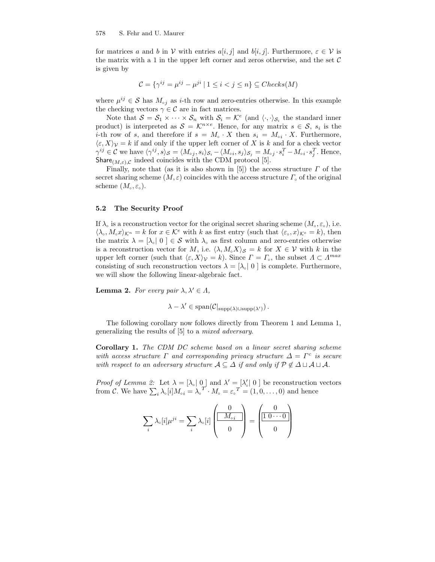for matrices a and b in V with entries  $a[i, j]$  and  $b[i, j]$ . Furthermore,  $\varepsilon \in V$  is the matrix with a 1 in the upper left corner and zeros otherwise, and the set  $\mathcal C$ is given by

$$
\mathcal{C} = \{ \gamma^{ij} = \mu^{ij} - \mu^{ji} \mid 1 \le i < j \le n \} \subseteq \mathit{Checks}(M)
$$

where  $\mu^{ij} \in \mathcal{S}$  has  $M_{\circ j}$  as *i*-th row and zero-entries otherwise. In this example the checking vectors  $\gamma \in \mathcal{C}$  are in fact matrices.

Note that  $S = S_1 \times \cdots \times S_n$  with  $S_i = \mathcal{K}^e$  (and  $\langle \cdot, \cdot \rangle_{S_i}$  the standard inner product) is interpreted as  $S = \mathcal{K}^{n \times e}$ . Hence, for any matrix  $s \in \mathcal{S}$ ,  $s_i$  is the *i*-th row of s, and therefore if  $s = M_\circ \cdot X$  then  $s_i = M_{\circ i} \cdot X$ . Furthermore,  $\langle \varepsilon, X \rangle_{\mathcal{V}} = k$  if and only if the upper left corner of X is k and for a check vector  $\gamma^{ij} \in \mathcal{C}$  we have  $\langle \gamma^{ij}, s \rangle_{\mathcal{S}} = \langle M_{\circ j}, s_i \rangle_{\mathcal{S}_i} - \langle M_{\circ i}, s_j \rangle_{\mathcal{S}_j} = M_{\circ j} \cdot s_i^T - M_{\circ i} \cdot s_j^T$ . Hence, Share<sub>(M, $\varepsilon$ ), c indeed coincides with the CDM protocol [5].</sub>

Finally, note that (as it is also shown in [5]) the access structure  $\Gamma$  of the secret sharing scheme  $(M, \varepsilon)$  coincides with the access structure  $\Gamma_{\circ}$  of the original scheme  $(M_\circ, \varepsilon_\circ)$ .

#### 5.2 The Security Proof

If  $\lambda_{\circ}$  is a reconstruction vector for the original secret sharing scheme  $(M_{\circ}, \varepsilon_{\circ}),$  i.e.  $\langle \lambda_0, M_\circ x \rangle_{\mathcal{K}^n} = k$  for  $x \in \mathcal{K}^e$  with k as first entry (such that  $\langle \varepsilon_0, x \rangle_{\mathcal{K}^e} = k$ ), then the matrix  $\lambda = [\lambda_0 \, 0 \, ] \in \mathcal{S}$  with  $\lambda_0$  as first column and zero-entries otherwise is a reconstruction vector for M, i.e.  $\langle \lambda, M_o X \rangle_{\mathcal{S}} = k$  for  $X \in \mathcal{V}$  with k in the upper left corner (such that  $\langle \varepsilon, X \rangle_{\mathcal{V}} = k$ ). Since  $\Gamma = \Gamma_{\circ}$ , the subset  $\Lambda \subset \Lambda^{max}$ consisting of such reconstruction vectors  $\lambda = [\lambda_0]$  o is complete. Furthermore, we will show the following linear-algebraic fact.

**Lemma 2.** For every pair  $\lambda, \lambda' \in \Lambda$ ,

$$
\lambda - \lambda' \in \mathrm{span}(\mathcal{C}|_{\mathrm{supp}(\lambda) \cup \mathrm{supp}(\lambda')}).
$$

The following corollary now follows directly from Theorem 1 and Lemma 1, generalizing the results of [5] to a mixed adversary.

Corollary 1. The CDM DC scheme based on a linear secret sharing scheme with access structure  $\Gamma$  and corresponding privacy structure  $\Delta = \Gamma^c$  is secure with respect to an adversary structure  $A \subseteq \Delta$  if and only if  $\mathcal{P} \notin \Delta \sqcup \mathcal{A} \sqcup \mathcal{A}$ .

*Proof of Lemma 2:* Let  $\lambda = [\lambda_0 \mid 0]$  and  $\lambda' = [\lambda_0' \mid 0]$  be reconstruction vectors from C. We have  $\sum_i \lambda_i[i]M_{\circ i} = \lambda_{\circ}^T \cdot M_{\circ} = \varepsilon_{\circ}^T = (1, 0, \dots, 0)$  and hence

$$
\sum_{i} \lambda_{\circ}[i] \mu^{ji} = \sum_{i} \lambda_{\circ}[i] \left( \frac{0}{\frac{M_{\circ i}}{0}} \right) = \left( \frac{0}{\frac{1 \ 0 \cdots 0}{0}} \right)
$$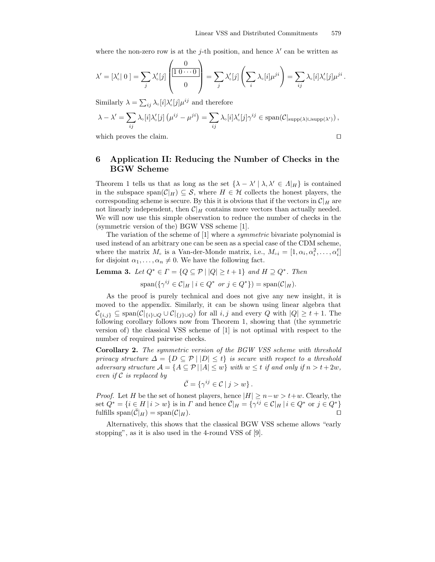where the non-zero row is at the j-th position, and hence  $\lambda'$  can be written as

$$
\lambda' = [\lambda'_{\circ} | 0 ] = \sum_{j} \lambda'_{\circ}[j] \left( \frac{0}{1 \ 0 \cdots 0} \right) = \sum_{j} \lambda'_{\circ}[j] \left( \sum_{i} \lambda_{\circ}[i] \mu^{ji} \right) = \sum_{ij} \lambda_{\circ}[i] \lambda'_{\circ}[j] \mu^{ji}.
$$

Similarly  $\lambda = \sum_{ij} \lambda_{\circ}[i] \lambda'_{\circ}[j] \mu^{ij}$  and therefore

$$
\lambda - \lambda' = \sum_{ij} \lambda_{\circ}[i] \lambda'_{\circ}[j] \left( \mu^{ij} - \mu^{ji} \right) = \sum_{ij} \lambda_{\circ}[i] \lambda'_{\circ}[j] \gamma^{ij} \in \text{span}(\mathcal{C}|_{\text{supp}(\lambda) \cup \text{supp}(\lambda')}),
$$

which proves the claim.  $\Box$ 

# 6 Application II: Reducing the Number of Checks in the BGW Scheme

Theorem 1 tells us that as long as the set  $\{\lambda - \lambda' \mid \lambda, \lambda' \in \Lambda | H\}$  is contained in the subspace span $(\mathcal{C}|_H) \subseteq \mathcal{S}$ , where  $H \in \mathcal{H}$  collects the honest players, the corresponding scheme is secure. By this it is obvious that if the vectors in  $\mathcal{C}|_H$  are not linearly independent, then  $\mathcal{C}|_H$  contains more vectors than actually needed. We will now use this simple observation to reduce the number of checks in the (symmetric version of the) BGW VSS scheme [1].

The variation of the scheme of [1] where a *symmetric* bivariate polynomial is used instead of an arbitrary one can be seen as a special case of the CDM scheme, where the matrix  $M_{\circ}$  is a Van-der-Monde matrix, i.e.,  $M_{\circ i} = [1, \alpha_i, \alpha_i^2, \dots, \alpha_i^t]$ for disjoint  $\alpha_1, \ldots, \alpha_n \neq 0$ . We have the following fact.

# **Lemma 3.** Let  $Q^* \in \Gamma = \{Q \subseteq \mathcal{P} \mid |Q| \ge t+1\}$  and  $H \supseteq Q^*$ . Then

$$
\text{span}(\{\gamma^{ij}\in\mathcal{C}|_H\mid i\in Q^*\ \text{or}\ j\in Q^*\})=\text{span}(\mathcal{C}|_H).
$$

As the proof is purely technical and does not give any new insight, it is moved to the appendix. Similarly, it can be shown using linear algebra that  $\mathcal{C}_{\{i,j\}} \subseteq \text{span}(\mathcal{C}|_{\{i\} \cup Q} \cup \mathcal{C}|_{\{j\} \cup Q})$  for all  $i, j$  and every Q with  $|Q| \geq t+1$ . The following corollary follows now from Theorem 1, showing that (the symmetric version of) the classical VSS scheme of [1] is not optimal with respect to the number of required pairwise checks.

Corollary 2. The symmetric version of the BGW VSS scheme with threshold privacy structure  $\Delta = \{D \subseteq \mathcal{P} \mid |D| \leq t\}$  is secure with respect to a threshold adversary structure  $A = \{A \subseteq \mathcal{P} \mid |A| \leq w\}$  with  $w \leq t$  if and only if  $n > t + 2w$ , even if  $\mathcal C$  is replaced by

$$
\bar{\mathcal{C}} = \{ \gamma^{ij} \in \mathcal{C} \mid j > w \} .
$$

*Proof.* Let H be the set of honest players, hence  $|H| \geq n - w > t + w$ . Clearly, the set  $Q^* = \{i \in H \mid i > w\}$  is in  $\Gamma$  and hence  $\overline{C}|_H = \{\gamma^{ij} \in C|_H \mid i \in Q^* \text{ or } j \in Q^*\}$ fulfills  $\text{span}(\mathcal{C}|_H) = \text{span}(\mathcal{C}|_H).$ 

Alternatively, this shows that the classical BGW VSS scheme allows "early stopping", as it is also used in the 4-round VSS of [9].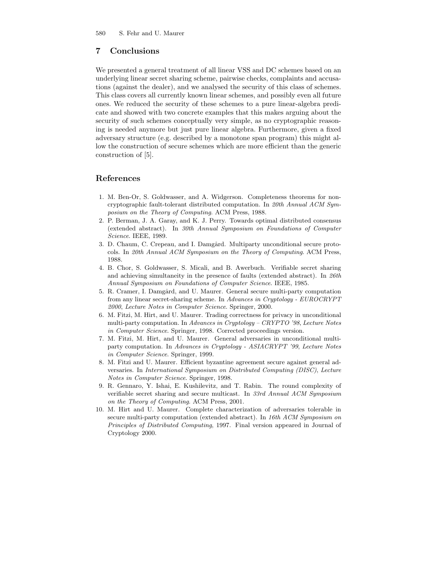# 7 Conclusions

We presented a general treatment of all linear VSS and DC schemes based on an underlying linear secret sharing scheme, pairwise checks, complaints and accusations (against the dealer), and we analysed the security of this class of schemes. This class covers all currently known linear schemes, and possibly even all future ones. We reduced the security of these schemes to a pure linear-algebra predicate and showed with two concrete examples that this makes arguing about the security of such schemes conceptually very simple, as no cryptographic reasoning is needed anymore but just pure linear algebra. Furthermore, given a fixed adversary structure (e.g. described by a monotone span program) this might allow the construction of secure schemes which are more efficient than the generic construction of [5].

# References

- 1. M. Ben-Or, S. Goldwasser, and A. Widgerson. Completeness theorems for noncryptographic fault-tolerant distributed computation. In 20th Annual ACM Symposium on the Theory of Computing. ACM Press, 1988.
- 2. P. Berman, J. A. Garay, and K. J. Perry. Towards optimal distributed consensus (extended abstract). In 30th Annual Symposium on Foundations of Computer Science. IEEE, 1989.
- 3. D. Chaum, C. Crepeau, and I. Damgård. Multiparty unconditional secure protocols. In 20th Annual ACM Symposium on the Theory of Computing. ACM Press, 1988.
- 4. B. Chor, S. Goldwasser, S. Micali, and B. Awerbuch. Verifiable secret sharing and achieving simultaneity in the presence of faults (extended abstract). In 26th Annual Symposium on Foundations of Computer Science. IEEE, 1985.
- 5. R. Cramer, I. Damgård, and U. Maurer. General secure multi-party computation from any linear secret-sharing scheme. In Advances in Cryptology - EUROCRYPT 2000, Lecture Notes in Computer Science. Springer, 2000.
- 6. M. Fitzi, M. Hirt, and U. Maurer. Trading correctness for privacy in unconditional multi-party computation. In Advances in Cryptology – CRYPTO '98, Lecture Notes in Computer Science. Springer, 1998. Corrected proceedings version.
- 7. M. Fitzi, M. Hirt, and U. Maurer. General adversaries in unconditional multiparty computation. In Advances in Cryptology - ASIACRYPT '99, Lecture Notes in Computer Science. Springer, 1999.
- 8. M. Fitzi and U. Maurer. Efficient byzantine agreement secure against general adversaries. In International Symposium on Distributed Computing (DISC), Lecture Notes in Computer Science. Springer, 1998.
- 9. R. Gennaro, Y. Ishai, E. Kushilevitz, and T. Rabin. The round complexity of verifiable secret sharing and secure multicast. In 33rd Annual ACM Symposium on the Theory of Computing. ACM Press, 2001.
- 10. M. Hirt and U. Maurer. Complete characterization of adversaries tolerable in secure multi-party computation (extended abstract). In 16th ACM Symposium on Principles of Distributed Computing, 1997. Final version appeared in Journal of Cryptology 2000.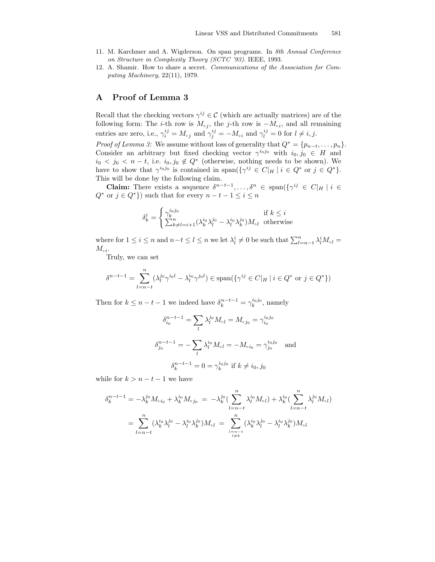- 11. M. Karchmer and A. Wigderson. On span programs. In 8th Annual Conference on Structure in Complexity Theory (SCTC '93). IEEE, 1993.
- 12. A. Shamir. How to share a secret. Communications of the Association for Computing Machinery, 22(11), 1979.

# A Proof of Lemma 3

Recall that the checking vectors  $\gamma^{ij} \in \mathcal{C}$  (which are actually matrices) are of the following form: The *i*-th row is  $M_{\circ j}$ , the *j*-th row is  $-M_{\circ i}$ , and all remaining entries are zero, i.e.,  $\gamma_i^{ij} = M_{\circ j}$  and  $\gamma_j^{ij} = -M_{\circ i}$  and  $\gamma_l^{ij} = 0$  for  $l \neq i, j$ .

*Proof of Lemma 3:* We assume without loss of generality that  $Q^* = \{p_{n-t}, \ldots, p_n\}.$ Consider an arbitrary but fixed checking vector  $\gamma^{i_0 j_0}$  with  $i_0, j_0 \in H$  and  $i_0 < j_0 < n-t$ , i.e.  $i_0, j_0 \notin Q^*$  (otherwise, nothing needs to be shown). We have to show that  $\gamma^{i_0 j_0}$  is contained in span $({\gamma}^{i j} \in C|_H | i \in Q^*$  or  $j \in Q^*$ . This will be done by the following claim.

**Claim:** There exists a sequence  $\delta^{n-t-1}, \ldots, \delta^n \in \text{span}(\{\gamma^{ij} \in C | H | i \in \mathbb{N}\})$  $Q^*$  or  $j \in Q^*$ }) such that for every  $n - t - 1 \leq i \leq n$ 

$$
\delta_k^i = \begin{cases} \gamma_k^{i_0 j_0} & \text{if } k \le i \\ \sum_{k \ne l=i+1}^n (\lambda_k^{i_0} \lambda_l^{j_0} - \lambda_l^{i_0} \lambda_k^{j_0}) M_{\circ l} & \text{otherwise} \end{cases}
$$

where for  $1 \le i \le n$  and  $n-t \le l \le n$  we let  $\lambda_l^i \neq 0$  be such that  $\sum_{l=n-t}^n \lambda_l^i M_{ol} =$  $M_{\circ i}$ .

Truly, we can set

$$
\delta^{n-t-1} = \sum_{l=n-t}^{n} (\lambda_l^{j_0} \gamma^{i_0 l} - \lambda_l^{i_0} \gamma^{j_0 l}) \in \text{span}(\{\gamma^{ij} \in C | H | i \in Q^* \text{ or } j \in Q^*\})
$$

Then for  $k \leq n - t - 1$  we indeed have  $\delta_k^{n-t-1} = \gamma_k^{i_0 j_0}$ , namely

$$
\delta_{i_0}^{n-t-1} = \sum_l \lambda_l^{j_0} M_{\circ l} = M_{\circ j_0} = \gamma_{i_0}^{i_0 j_0}
$$

$$
\delta_{j_0}^{n-t-1} = -\sum_l \lambda_l^{i_0} M_{\circ l} = -M_{\circ i_0} = \gamma_{j_0}^{i_0 j_0} \text{ and }
$$

$$
\delta_k^{n-t-1} = 0 = \gamma_k^{i_0 j_0} \text{ if } k \neq i_0, j_0
$$

while for  $k > n - t - 1$  we have

$$
\delta_k^{n-t-1} = -\lambda_k^{j_0} M_{\circ i_0} + \lambda_k^{i_0} M_{\circ j_0} = -\lambda_k^{j_0} \left( \sum_{l=n-t}^n \lambda_l^{i_0} M_{\circ l} \right) + \lambda_k^{i_0} \left( \sum_{l=n-t}^n \lambda_l^{j_0} M_{\circ l} \right)
$$

$$
= \sum_{l=n-t}^n (\lambda_k^{i_0} \lambda_l^{j_0} - \lambda_l^{i_0} \lambda_k^{j_0}) M_{\circ l} = \sum_{l=n-t}^n (\lambda_k^{i_0} \lambda_l^{j_0} - \lambda_l^{i_0} \lambda_k^{j_0}) M_{\circ l}
$$